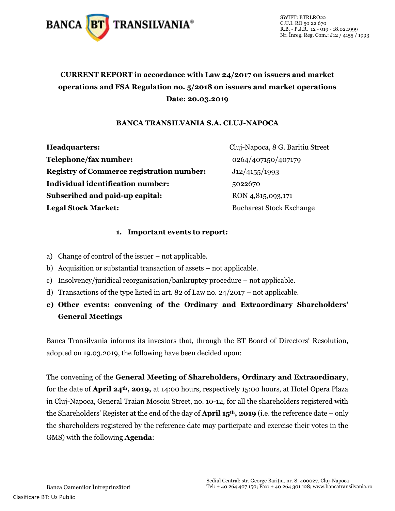

SWIFT: BTRLRO22 C.U.I. RO 50 22 670 R.B. - P.J.R. 12 - 019 - 18.02.1999 Nr. Înreg. Reg. Com.: J12 / 4155 / 1993

### **CURRENT REPORT in accordance with Law 24/2017 on issuers and market operations and FSA Regulation no. 5/2018 on issuers and market operations Date: 20.03.2019**

#### **BANCA TRANSILVANIA S.A. CLUJ-NAPOCA**

**Headquarters:** Cluj-Napoca, 8 G. Baritiu Street **Telephone/fax number:** 0264/407150/407179 **Registry of Commerce registration number:** J12/4155/1993 **Individual identification number:** 5022670 **Subscribed and paid-up capital:** RON 4,815,093,171 **Legal Stock Market:** Bucharest Stock Exchange

#### **1. Important events to report:**

- a) Change of control of the issuer not applicable.
- b) Acquisition or substantial transaction of assets not applicable.
- c) Insolvency/juridical reorganisation/bankruptcy procedure not applicable.
- d) Transactions of the type listed in art. 82 of Law no. 24/2017 not applicable.
- **e) Other events: convening of the Ordinary and Extraordinary Shareholders' General Meetings**

Banca Transilvania informs its investors that, through the BT Board of Directors' Resolution, adopted on 19.03.2019, the following have been decided upon:

The convening of the **General Meeting of Shareholders, Ordinary and Extraordinary**, for the date of **April 24th, 2019,** at 14:00 hours, respectively 15:00 hours, at Hotel Opera Plaza in Cluj-Napoca, General Traian Mosoiu Street, no. 10-12, for all the shareholders registered with the Shareholders' Register at the end of the day of **April 15th, 2019** (i.e. the reference date – only the shareholders registered by the reference date may participate and exercise their votes in the GMS) with the following **Agenda**: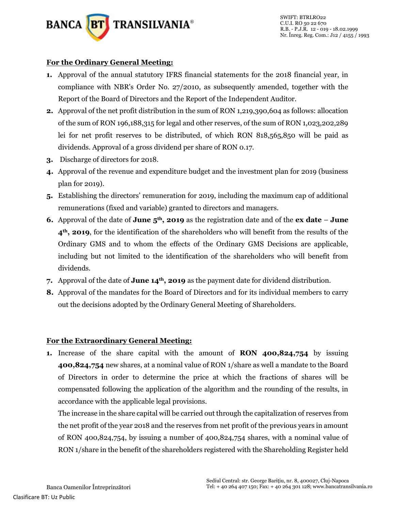

#### **For the Ordinary General Meeting:**

- **1.** Approval of the annual statutory IFRS financial statements for the 2018 financial year, in compliance with NBR's Order No. 27/2010, as subsequently amended, together with the Report of the Board of Directors and the Report of the Independent Auditor.
- **2.** Approval of the net profit distribution in the sum of RON 1,219,390,604 as follows: allocation of the sum of RON 196,188,315 for legal and other reserves, of the sum of RON 1,023,202,289 lei for net profit reserves to be distributed, of which RON 818,565,850 will be paid as dividends. Approval of a gross dividend per share of RON 0.17.
- **3.** Discharge of directors for 2018.
- **4.** Approval of the revenue and expenditure budget and the investment plan for 2019 (business plan for 2019).
- **5.** Establishing the directors' remuneration for 2019, including the maximum cap of additional remunerations (fixed and variable) granted to directors and managers.
- **6.** Approval of the date of **June 5th, 2019** as the registration date and of the **ex date June 4th, 2019**, for the identification of the shareholders who will benefit from the results of the Ordinary GMS and to whom the effects of the Ordinary GMS Decisions are applicable, including but not limited to the identification of the shareholders who will benefit from dividends.
- **7.** Approval of the date of **June 14th, 2019** as the payment date for dividend distribution.
- **8.** Approval of the mandates for the Board of Directors and for its individual members to carry out the decisions adopted by the Ordinary General Meeting of Shareholders.

#### **For the Extraordinary General Meeting:**

**1.** Increase of the share capital with the amount of **RON 400,824,754** by issuing **400,824,754** new shares, at a nominal value of RON 1/share as well a mandate to the Board of Directors in order to determine the price at which the fractions of shares will be compensated following the application of the algorithm and the rounding of the results, in accordance with the applicable legal provisions.

The increase in the share capital will be carried out through the capitalization of reserves from the net profit of the year 2018 and the reserves from net profit of the previous years in amount of RON 400,824,754, by issuing a number of 400,824,754 shares, with a nominal value of RON 1/share in the benefit of the shareholders registered with the Shareholding Register held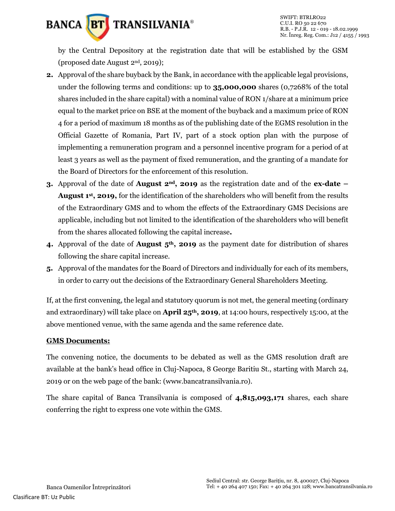

by the Central Depository at the registration date that will be established by the GSM (proposed date August 2nd, 2019);

- **2.** Approval of the share buyback by the Bank, in accordance with the applicable legal provisions, under the following terms and conditions: up to **35,000,000** shares (0,7268% of the total shares included in the share capital) with a nominal value of RON 1/share at a minimum price equal to the market price on BSE at the moment of the buyback and a maximum price of RON 4 for a period of maximum 18 months as of the publishing date of the EGMS resolution in the Official Gazette of Romania, Part IV, part of a stock option plan with the purpose of implementing a remuneration program and a personnel incentive program for a period of at least 3 years as well as the payment of fixed remuneration, and the granting of a mandate for the Board of Directors for the enforcement of this resolution.
- **3.** Approval of the date of **August 2nd, 2019** as the registration date and of the **ex-date – August 1st, 2019,** for the identification of the shareholders who will benefit from the results of the Extraordinary GMS and to whom the effects of the Extraordinary GMS Decisions are applicable, including but not limited to the identification of the shareholders who will benefit from the shares allocated following the capital increase**.**
- **4.** Approval of the date of **August 5th, 2019** as the payment date for distribution of shares following the share capital increase.
- **5.** Approval of the mandates for the Board of Directors and individually for each of its members, in order to carry out the decisions of the Extraordinary General Shareholders Meeting.

If, at the first convening, the legal and statutory quorum is not met, the general meeting (ordinary and extraordinary) will take place on **April 25th, 2019**, at 14:00 hours, respectively 15:00, at the above mentioned venue, with the same agenda and the same reference date.

#### **GMS Documents:**

The convening notice, the documents to be debated as well as the GMS resolution draft are available at the bank's head office in Cluj-Napoca, 8 George Baritiu St., starting with March 24, 2019 or on the web page of the bank: (www.bancatransilvania.ro).

The share capital of Banca Transilvania is composed of **4,815,093,171** shares, each share conferring the right to express one vote within the GMS.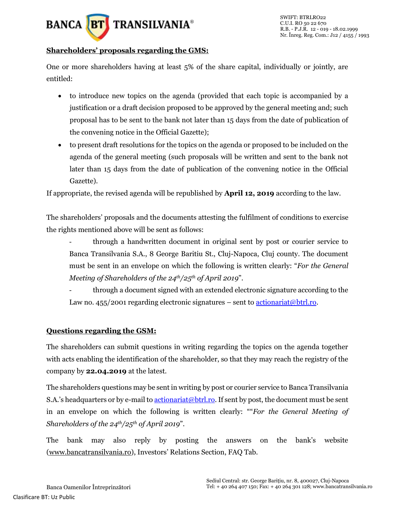## **BANCA** BT **TRANSILVANIA®**

#### **Shareholders' proposals regarding the GMS:**

One or more shareholders having at least 5% of the share capital, individually or jointly, are entitled:

- to introduce new topics on the agenda (provided that each topic is accompanied by a justification or a draft decision proposed to be approved by the general meeting and; such proposal has to be sent to the bank not later than 15 days from the date of publication of the convening notice in the Official Gazette);
- to present draft resolutions for the topics on the agenda or proposed to be included on the agenda of the general meeting (such proposals will be written and sent to the bank not later than 15 days from the date of publication of the convening notice in the Official Gazette).

If appropriate, the revised agenda will be republished by **April 12, 2019** according to the law.

The shareholders' proposals and the documents attesting the fulfilment of conditions to exercise the rights mentioned above will be sent as follows:

- through a handwritten document in original sent by post or courier service to Banca Transilvania S.A., 8 George Baritiu St., Cluj-Napoca, Cluj county. The document must be sent in an envelope on which the following is written clearly: "*For the General Meeting of Shareholders of the 24th/25th of April 2019*".

through a document signed with an extended electronic signature according to the Law no. 455/2001 regarding electronic signatures – sent t[o actionariat@btrl.ro.](mailto:actionariat@btrl.ro)

#### **Questions regarding the GSM:**

The shareholders can submit questions in writing regarding the topics on the agenda together with acts enabling the identification of the shareholder, so that they may reach the registry of the company by **22.04.2019** at the latest.

The shareholders questions may be sent in writing by post or courier service to Banca Transilvania S.A.'s headquarters or by e-mail to [actionariat@btrl.ro.](mailto:actionariat@btrl.ro) If sent by post, the document must be sent in an envelope on which the following is written clearly: ""*For the General Meeting of Shareholders of the 24th/25th of April 2019*".

The bank may also reply by posting the answers on the bank's website [\(www.bancatransilvania.ro](http://www.bancatransilvania.ro/)), Investors' Relations Section, FAQ Tab.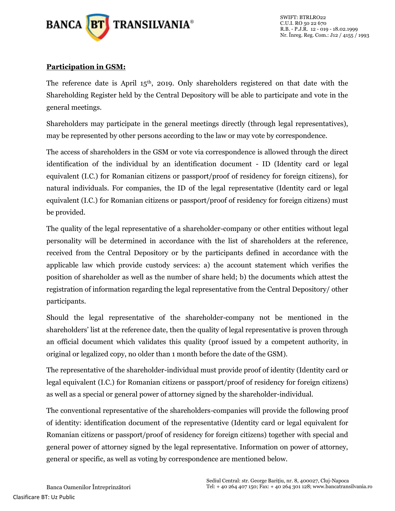

#### **Participation in GSM:**

The reference date is April  $15<sup>th</sup>$ , 2019. Only shareholders registered on that date with the Shareholding Register held by the Central Depository will be able to participate and vote in the general meetings.

Shareholders may participate in the general meetings directly (through legal representatives), may be represented by other persons according to the law or may vote by correspondence.

The access of shareholders in the GSM or vote via correspondence is allowed through the direct identification of the individual by an identification document - ID (Identity card or legal equivalent (I.C.) for Romanian citizens or passport/proof of residency for foreign citizens), for natural individuals. For companies, the ID of the legal representative (Identity card or legal equivalent (I.C.) for Romanian citizens or passport/proof of residency for foreign citizens) must be provided.

The quality of the legal representative of a shareholder-company or other entities without legal personality will be determined in accordance with the list of shareholders at the reference, received from the Central Depository or by the participants defined in accordance with the applicable law which provide custody services: a) the account statement which verifies the position of shareholder as well as the number of share held; b) the documents which attest the registration of information regarding the legal representative from the Central Depository/ other participants.

Should the legal representative of the shareholder-company not be mentioned in the shareholders' list at the reference date, then the quality of legal representative is proven through an official document which validates this quality (proof issued by a competent authority, in original or legalized copy, no older than 1 month before the date of the GSM).

The representative of the shareholder-individual must provide proof of identity (Identity card or legal equivalent (I.C.) for Romanian citizens or passport/proof of residency for foreign citizens) as well as a special or general power of attorney signed by the shareholder-individual.

The conventional representative of the shareholders-companies will provide the following proof of identity: identification document of the representative (Identity card or legal equivalent for Romanian citizens or passport/proof of residency for foreign citizens) together with special and general power of attorney signed by the legal representative. Information on power of attorney, general or specific, as well as voting by correspondence are mentioned below.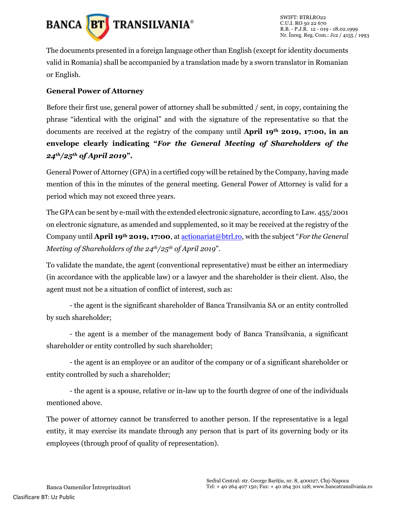

The documents presented in a foreign language other than English (except for identity documents valid in Romania) shall be accompanied by a translation made by a sworn translator in Romanian or English.

#### **General Power of Attorney**

Before their first use, general power of attorney shall be submitted / sent, in copy, containing the phrase "identical with the original" and with the signature of the representative so that the documents are received at the registry of the company until **April 19th 2019, 17:00, in an envelope clearly indicating "***For the General Meeting of Shareholders of the 24th/25th of April 2019***".**

General Power of Attorney (GPA) in a certified copy will be retained by the Company, having made mention of this in the minutes of the general meeting. General Power of Attorney is valid for a period which may not exceed three years.

The GPA can be sent by e-mail with the extended electronic signature, according to Law. 455/2001 on electronic signature, as amended and supplemented, so it may be received at the registry of the Company until **April 19th 2019, 17:00**, at [actionariat@btrl.ro](mailto:actionariat@btrl.ro), with the subject "*For the General Meeting of Shareholders of the 24th/25th of April 2019*".

To validate the mandate, the agent (conventional representative) must be either an intermediary (in accordance with the applicable law) or a lawyer and the shareholder is their client. Also, the agent must not be a situation of conflict of interest, such as:

- the agent is the significant shareholder of Banca Transilvania SA or an entity controlled by such shareholder;

- the agent is a member of the management body of Banca Transilvania, a significant shareholder or entity controlled by such shareholder;

- the agent is an employee or an auditor of the company or of a significant shareholder or entity controlled by such a shareholder;

- the agent is a spouse, relative or in-law up to the fourth degree of one of the individuals mentioned above.

The power of attorney cannot be transferred to another person. If the representative is a legal entity, it may exercise its mandate through any person that is part of its governing body or its employees (through proof of quality of representation).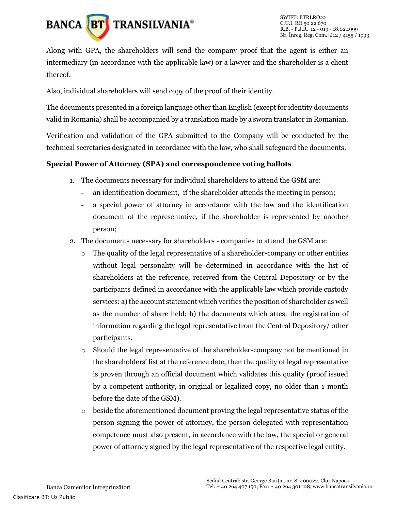

Along with GPA, the shareholders will send the company proof that the agent is either an intermediary (in accordance with the applicable law) or a lawyer and the shareholder is a client thereof.

Also, individual shareholders will send copy of the proof of their identity.

The documents presented in a foreign language other than English (except for identity documents valid in Romania) shall be accompanied by a translation made by a sworn translator in Romanian.

Verification and validation of the GPA submitted to the Company will be conducted by the technical secretaries designated in accordance with the law, who shall safeguard the documents.

#### **Special Power of Attorney (SPA) and correspondence voting ballots**

- 1. The documents necessary for individual shareholders to attend the GSM are:
	- an identification document, if the shareholder attends the meeting in person;
	- a special power of attorney in accordance with the law and the identification document of the representative, if the shareholder is represented by another person;
- 2. The documents necessary for shareholders companies to attend the GSM are:
	- $\circ$  The quality of the legal representative of a shareholder-company or other entities without legal personality will be determined in accordance with the list of shareholders at the reference, received from the Central Depository or by the participants defined in accordance with the applicable law which provide custody services: a) the account statement which verifies the position of shareholder as well as the number of share held; b) the documents which attest the registration of information regarding the legal representative from the Central Depository/ other participants.
	- o Should the legal representative of the shareholder-company not be mentioned in the shareholders' list at the reference date, then the quality of legal representative is proven through an official document which validates this quality (proof issued by a competent authority, in original or legalized copy, no older than 1 month before the date of the GSM).
	- $\circ$  beside the aforementioned document proving the legal representative status of the person signing the power of attorney, the person delegated with representation competence must also present, in accordance with the law, the special or general power of attorney signed by the legal representative of the respective legal entity.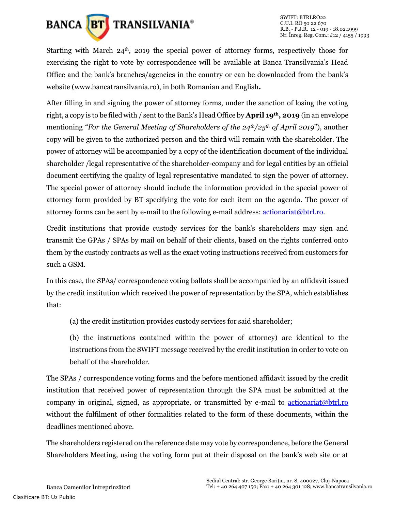

Starting with March  $24<sup>th</sup>$ , 2019 the special power of attorney forms, respectively those for exercising the right to vote by correspondence will be available at Banca Transilvania's Head Office and the bank's branches/agencies in the country or can be downloaded from the bank's website [\(www.bancatransilvania.ro\)](http://www.bancatransilvania.ro/), in both Romanian and English**.**

After filling in and signing the power of attorney forms, under the sanction of losing the voting right, a copy is to be filed with / sent to the Bank's Head Office by **April 19th, 2019** (in an envelope mentioning "*For the General Meeting of Shareholders of the 24th/25th of April 2019*"), another copy will be given to the authorized person and the third will remain with the shareholder. The power of attorney will be accompanied by a copy of the identification document of the individual shareholder /legal representative of the shareholder-company and for legal entities by an official document certifying the quality of legal representative mandated to sign the power of attorney. The special power of attorney should include the information provided in the special power of attorney form provided by BT specifying the vote for each item on the agenda. The power of attorney forms can be sent by e-mail to the following e-mail address:  $\frac{\text{actionariat}(\omega_{\text{btrl},ro.}}{\text{cmol}}$ 

Credit institutions that provide custody services for the bank's shareholders may sign and transmit the GPAs / SPAs by mail on behalf of their clients, based on the rights conferred onto them by the custody contracts as well as the exact voting instructions received from customers for such a GSM.

In this case, the SPAs/ correspondence voting ballots shall be accompanied by an affidavit issued by the credit institution which received the power of representation by the SPA, which establishes that:

(a) the credit institution provides custody services for said shareholder;

(b) the instructions contained within the power of attorney) are identical to the instructions from the SWIFT message received by the credit institution in order to vote on behalf of the shareholder.

The SPAs / correspondence voting forms and the before mentioned affidavit issued by the credit institution that received power of representation through the SPA must be submitted at the company in original, signed, as appropriate, or transmitted by e-mail to [actionariat@btrl.ro](mailto:actionariat@btrl.ro) without the fulfilment of other formalities related to the form of these documents, within the deadlines mentioned above.

The shareholders registered on the reference date may vote by correspondence, before the General Shareholders Meeting, using the voting form put at their disposal on the bank's web site or at